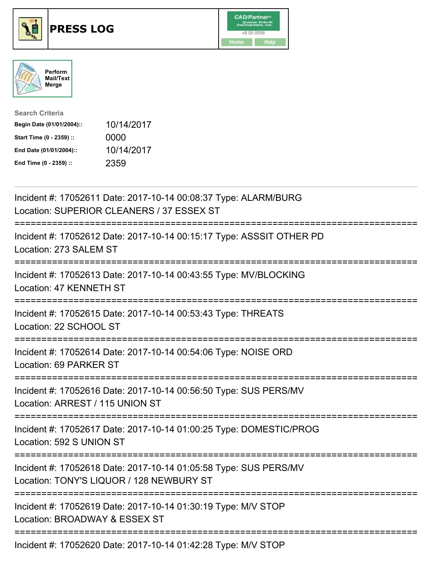





| <b>Search Criteria</b>    |            |
|---------------------------|------------|
| Begin Date (01/01/2004):: | 10/14/2017 |
| Start Time (0 - 2359) ::  | 0000       |
| End Date (01/01/2004)::   | 10/14/2017 |
| End Time (0 - 2359) ::    | 2359       |

| Incident #: 17052611 Date: 2017-10-14 00:08:37 Type: ALARM/BURG<br>Location: SUPERIOR CLEANERS / 37 ESSEX ST                                     |
|--------------------------------------------------------------------------------------------------------------------------------------------------|
| Incident #: 17052612 Date: 2017-10-14 00:15:17 Type: ASSSIT OTHER PD<br>Location: 273 SALEM ST                                                   |
| Incident #: 17052613 Date: 2017-10-14 00:43:55 Type: MV/BLOCKING<br>Location: 47 KENNETH ST                                                      |
| Incident #: 17052615 Date: 2017-10-14 00:53:43 Type: THREATS<br>Location: 22 SCHOOL ST                                                           |
| Incident #: 17052614 Date: 2017-10-14 00:54:06 Type: NOISE ORD<br>Location: 69 PARKER ST<br>-----------------                                    |
| Incident #: 17052616 Date: 2017-10-14 00:56:50 Type: SUS PERS/MV<br>Location: ARREST / 115 UNION ST                                              |
| Incident #: 17052617 Date: 2017-10-14 01:00:25 Type: DOMESTIC/PROG<br>Location: 592 S UNION ST                                                   |
| Incident #: 17052618 Date: 2017-10-14 01:05:58 Type: SUS PERS/MV<br>Location: TONY'S LIQUOR / 128 NEWBURY ST<br>;=============================== |
| Incident #: 17052619 Date: 2017-10-14 01:30:19 Type: M/V STOP<br>Location: BROADWAY & ESSEX ST<br>------------------------                       |
| Incident #: 17052620 Date: 2017-10-14 01:42:28 Type: M/V STOP                                                                                    |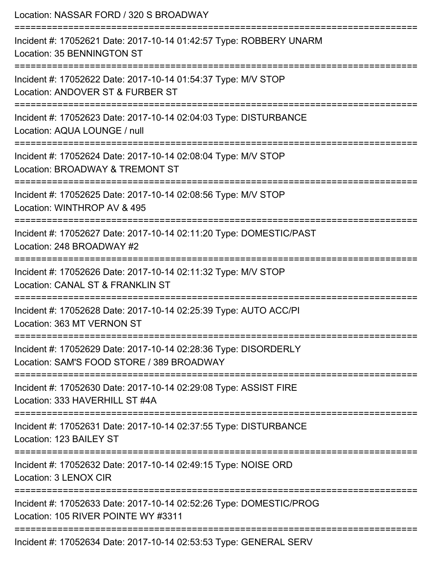| Location: NASSAR FORD / 320 S BROADWAY<br>==============================                                     |
|--------------------------------------------------------------------------------------------------------------|
| Incident #: 17052621 Date: 2017-10-14 01:42:57 Type: ROBBERY UNARM<br>Location: 35 BENNINGTON ST             |
| Incident #: 17052622 Date: 2017-10-14 01:54:37 Type: M/V STOP<br>Location: ANDOVER ST & FURBER ST            |
| Incident #: 17052623 Date: 2017-10-14 02:04:03 Type: DISTURBANCE<br>Location: AQUA LOUNGE / null             |
| Incident #: 17052624 Date: 2017-10-14 02:08:04 Type: M/V STOP<br>Location: BROADWAY & TREMONT ST             |
| Incident #: 17052625 Date: 2017-10-14 02:08:56 Type: M/V STOP<br>Location: WINTHROP AV & 495                 |
| Incident #: 17052627 Date: 2017-10-14 02:11:20 Type: DOMESTIC/PAST<br>Location: 248 BROADWAY #2              |
| Incident #: 17052626 Date: 2017-10-14 02:11:32 Type: M/V STOP<br>Location: CANAL ST & FRANKLIN ST            |
| Incident #: 17052628 Date: 2017-10-14 02:25:39 Type: AUTO ACC/PI<br>Location: 363 MT VERNON ST               |
| Incident #: 17052629 Date: 2017-10-14 02:28:36 Type: DISORDERLY<br>Location: SAM'S FOOD STORE / 389 BROADWAY |
| Incident #: 17052630 Date: 2017-10-14 02:29:08 Type: ASSIST FIRE<br>Location: 333 HAVERHILL ST #4A           |
| Incident #: 17052631 Date: 2017-10-14 02:37:55 Type: DISTURBANCE<br>Location: 123 BAILEY ST                  |
| Incident #: 17052632 Date: 2017-10-14 02:49:15 Type: NOISE ORD<br>Location: 3 LENOX CIR                      |
| Incident #: 17052633 Date: 2017-10-14 02:52:26 Type: DOMESTIC/PROG<br>Location: 105 RIVER POINTE WY #3311    |
| Incident #: 17052634 Date: 2017-10-14 02:53:53 Type: GENERAL SERV                                            |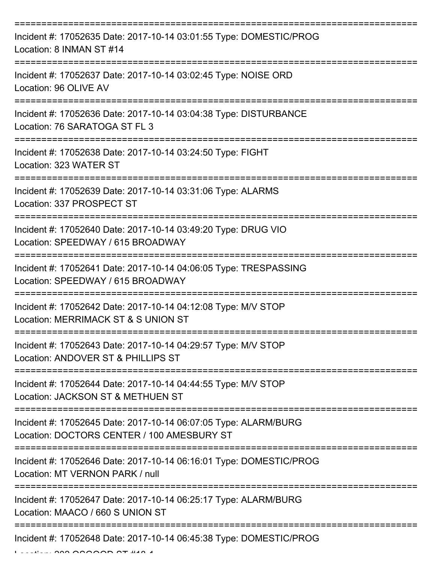| Incident #: 17052635 Date: 2017-10-14 03:01:55 Type: DOMESTIC/PROG<br>Location: 8 INMAN ST #14                |
|---------------------------------------------------------------------------------------------------------------|
| Incident #: 17052637 Date: 2017-10-14 03:02:45 Type: NOISE ORD<br>Location: 96 OLIVE AV                       |
| Incident #: 17052636 Date: 2017-10-14 03:04:38 Type: DISTURBANCE<br>Location: 76 SARATOGA ST FL 3             |
| Incident #: 17052638 Date: 2017-10-14 03:24:50 Type: FIGHT<br>Location: 323 WATER ST                          |
| Incident #: 17052639 Date: 2017-10-14 03:31:06 Type: ALARMS<br>Location: 337 PROSPECT ST                      |
| Incident #: 17052640 Date: 2017-10-14 03:49:20 Type: DRUG VIO<br>Location: SPEEDWAY / 615 BROADWAY            |
| Incident #: 17052641 Date: 2017-10-14 04:06:05 Type: TRESPASSING<br>Location: SPEEDWAY / 615 BROADWAY         |
| Incident #: 17052642 Date: 2017-10-14 04:12:08 Type: M/V STOP<br>Location: MERRIMACK ST & S UNION ST          |
| Incident #: 17052643 Date: 2017-10-14 04:29:57 Type: M/V STOP<br>Location: ANDOVER ST & PHILLIPS ST           |
| Incident #: 17052644 Date: 2017-10-14 04:44:55 Type: M/V STOP<br>Location: JACKSON ST & METHUEN ST            |
| Incident #: 17052645 Date: 2017-10-14 06:07:05 Type: ALARM/BURG<br>Location: DOCTORS CENTER / 100 AMESBURY ST |
| Incident #: 17052646 Date: 2017-10-14 06:16:01 Type: DOMESTIC/PROG<br>Location: MT VERNON PARK / null         |
| Incident #: 17052647 Date: 2017-10-14 06:25:17 Type: ALARM/BURG<br>Location: MAACO / 660 S UNION ST           |
| Incident #: 17052648 Date: 2017-10-14 06:45:38 Type: DOMESTIC/PROG                                            |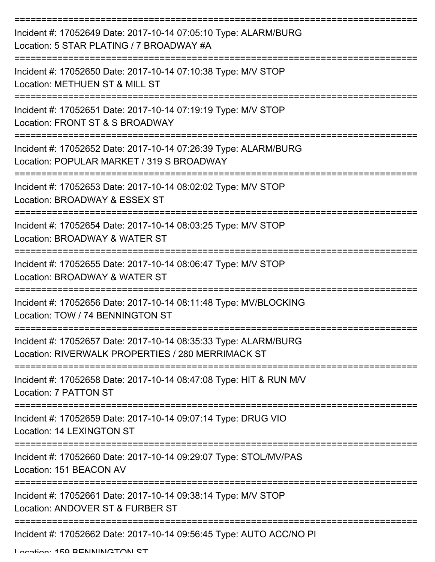| Incident #: 17052649 Date: 2017-10-14 07:05:10 Type: ALARM/BURG<br>Location: 5 STAR PLATING / 7 BROADWAY #A          |
|----------------------------------------------------------------------------------------------------------------------|
| Incident #: 17052650 Date: 2017-10-14 07:10:38 Type: M/V STOP<br>Location: METHUEN ST & MILL ST                      |
| Incident #: 17052651 Date: 2017-10-14 07:19:19 Type: M/V STOP<br>Location: FRONT ST & S BROADWAY                     |
| Incident #: 17052652 Date: 2017-10-14 07:26:39 Type: ALARM/BURG<br>Location: POPULAR MARKET / 319 S BROADWAY         |
| Incident #: 17052653 Date: 2017-10-14 08:02:02 Type: M/V STOP<br>Location: BROADWAY & ESSEX ST                       |
| Incident #: 17052654 Date: 2017-10-14 08:03:25 Type: M/V STOP<br>Location: BROADWAY & WATER ST                       |
| Incident #: 17052655 Date: 2017-10-14 08:06:47 Type: M/V STOP<br>Location: BROADWAY & WATER ST                       |
| Incident #: 17052656 Date: 2017-10-14 08:11:48 Type: MV/BLOCKING<br>Location: TOW / 74 BENNINGTON ST                 |
| Incident #: 17052657 Date: 2017-10-14 08:35:33 Type: ALARM/BURG<br>Location: RIVERWALK PROPERTIES / 280 MERRIMACK ST |
| Incident #: 17052658 Date: 2017-10-14 08:47:08 Type: HIT & RUN M/V<br>Location: 7 PATTON ST                          |
| Incident #: 17052659 Date: 2017-10-14 09:07:14 Type: DRUG VIO<br>Location: 14 LEXINGTON ST                           |
| Incident #: 17052660 Date: 2017-10-14 09:29:07 Type: STOL/MV/PAS<br>Location: 151 BEACON AV                          |
| Incident #: 17052661 Date: 2017-10-14 09:38:14 Type: M/V STOP<br>Location: ANDOVER ST & FURBER ST                    |
| Incident #: 17052662 Date: 2017-10-14 09:56:45 Type: AUTO ACC/NO PI                                                  |

Location: 150 BENNINGTON ST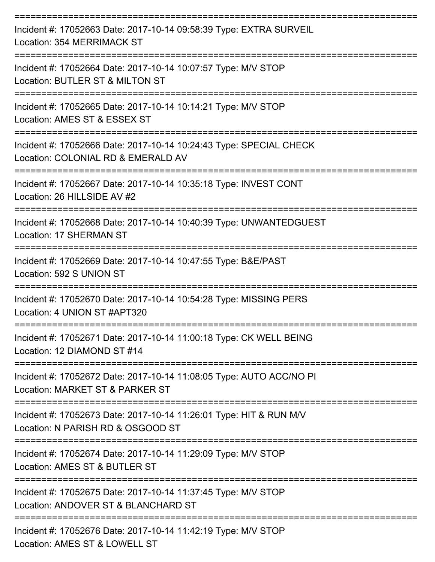| Incident #: 17052663 Date: 2017-10-14 09:58:39 Type: EXTRA SURVEIL<br>Location: 354 MERRIMACK ST                     |
|----------------------------------------------------------------------------------------------------------------------|
| Incident #: 17052664 Date: 2017-10-14 10:07:57 Type: M/V STOP<br>Location: BUTLER ST & MILTON ST                     |
| Incident #: 17052665 Date: 2017-10-14 10:14:21 Type: M/V STOP<br>Location: AMES ST & ESSEX ST                        |
| Incident #: 17052666 Date: 2017-10-14 10:24:43 Type: SPECIAL CHECK<br>Location: COLONIAL RD & EMERALD AV             |
| Incident #: 17052667 Date: 2017-10-14 10:35:18 Type: INVEST CONT<br>Location: 26 HILLSIDE AV #2                      |
| Incident #: 17052668 Date: 2017-10-14 10:40:39 Type: UNWANTEDGUEST<br><b>Location: 17 SHERMAN ST</b>                 |
| Incident #: 17052669 Date: 2017-10-14 10:47:55 Type: B&E/PAST<br>Location: 592 S UNION ST                            |
| Incident #: 17052670 Date: 2017-10-14 10:54:28 Type: MISSING PERS<br>Location: 4 UNION ST #APT320                    |
| Incident #: 17052671 Date: 2017-10-14 11:00:18 Type: CK WELL BEING<br>Location: 12 DIAMOND ST #14<br>--------------- |
| Incident #: 17052672 Date: 2017-10-14 11:08:05 Type: AUTO ACC/NO PI<br>Location: MARKET ST & PARKER ST               |
| Incident #: 17052673 Date: 2017-10-14 11:26:01 Type: HIT & RUN M/V<br>Location: N PARISH RD & OSGOOD ST              |
| Incident #: 17052674 Date: 2017-10-14 11:29:09 Type: M/V STOP<br>Location: AMES ST & BUTLER ST                       |
| Incident #: 17052675 Date: 2017-10-14 11:37:45 Type: M/V STOP<br>Location: ANDOVER ST & BLANCHARD ST                 |
| Incident #: 17052676 Date: 2017-10-14 11:42:19 Type: M/V STOP<br>Location: AMES ST & LOWELL ST                       |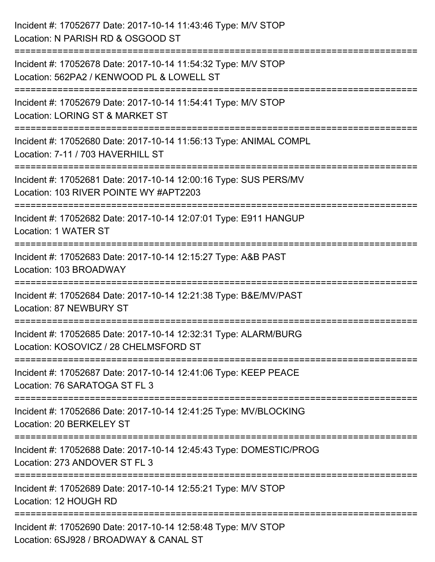| Incident #: 17052677 Date: 2017-10-14 11:43:46 Type: M/V STOP<br>Location: N PARISH RD & OSGOOD ST                                      |
|-----------------------------------------------------------------------------------------------------------------------------------------|
| ======================<br>Incident #: 17052678 Date: 2017-10-14 11:54:32 Type: M/V STOP<br>Location: 562PA2 / KENWOOD PL & LOWELL ST    |
| Incident #: 17052679 Date: 2017-10-14 11:54:41 Type: M/V STOP<br>Location: LORING ST & MARKET ST<br>=================================== |
| Incident #: 17052680 Date: 2017-10-14 11:56:13 Type: ANIMAL COMPL<br>Location: 7-11 / 703 HAVERHILL ST                                  |
| Incident #: 17052681 Date: 2017-10-14 12:00:16 Type: SUS PERS/MV<br>Location: 103 RIVER POINTE WY #APT2203                              |
| ================<br>Incident #: 17052682 Date: 2017-10-14 12:07:01 Type: E911 HANGUP<br>Location: 1 WATER ST                            |
| Incident #: 17052683 Date: 2017-10-14 12:15:27 Type: A&B PAST<br>Location: 103 BROADWAY                                                 |
| Incident #: 17052684 Date: 2017-10-14 12:21:38 Type: B&E/MV/PAST<br><b>Location: 87 NEWBURY ST</b>                                      |
| Incident #: 17052685 Date: 2017-10-14 12:32:31 Type: ALARM/BURG<br>Location: KOSOVICZ / 28 CHELMSFORD ST                                |
| Incident #: 17052687 Date: 2017-10-14 12:41:06 Type: KEEP PEACE<br>Location: 76 SARATOGA ST FL 3                                        |
| Incident #: 17052686 Date: 2017-10-14 12:41:25 Type: MV/BLOCKING<br>Location: 20 BERKELEY ST                                            |
| Incident #: 17052688 Date: 2017-10-14 12:45:43 Type: DOMESTIC/PROG<br>Location: 273 ANDOVER ST FL 3                                     |
| Incident #: 17052689 Date: 2017-10-14 12:55:21 Type: M/V STOP<br>Location: 12 HOUGH RD                                                  |
| Incident #: 17052690 Date: 2017-10-14 12:58:48 Type: M/V STOP<br>Location: 6SJ928 / BROADWAY & CANAL ST                                 |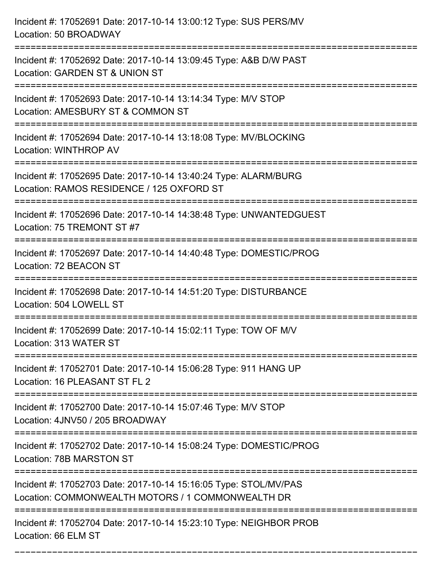| Incident #: 17052691 Date: 2017-10-14 13:00:12 Type: SUS PERS/MV<br>Location: 50 BROADWAY                                           |
|-------------------------------------------------------------------------------------------------------------------------------------|
| Incident #: 17052692 Date: 2017-10-14 13:09:45 Type: A&B D/W PAST<br>Location: GARDEN ST & UNION ST                                 |
| Incident #: 17052693 Date: 2017-10-14 13:14:34 Type: M/V STOP<br>Location: AMESBURY ST & COMMON ST                                  |
| Incident #: 17052694 Date: 2017-10-14 13:18:08 Type: MV/BLOCKING<br>Location: WINTHROP AV                                           |
| Incident #: 17052695 Date: 2017-10-14 13:40:24 Type: ALARM/BURG<br>Location: RAMOS RESIDENCE / 125 OXFORD ST                        |
| Incident #: 17052696 Date: 2017-10-14 14:38:48 Type: UNWANTEDGUEST<br>Location: 75 TREMONT ST #7                                    |
| Incident #: 17052697 Date: 2017-10-14 14:40:48 Type: DOMESTIC/PROG<br>Location: 72 BEACON ST<br>=================================== |
| Incident #: 17052698 Date: 2017-10-14 14:51:20 Type: DISTURBANCE<br>Location: 504 LOWELL ST                                         |
| Incident #: 17052699 Date: 2017-10-14 15:02:11 Type: TOW OF M/V<br>Location: 313 WATER ST                                           |
| Incident #: 17052701 Date: 2017-10-14 15:06:28 Type: 911 HANG UP<br>Location: 16 PLEASANT ST FL 2                                   |
| Incident #: 17052700 Date: 2017-10-14 15:07:46 Type: M/V STOP<br>Location: 4JNV50 / 205 BROADWAY                                    |
| Incident #: 17052702 Date: 2017-10-14 15:08:24 Type: DOMESTIC/PROG<br>Location: 78B MARSTON ST                                      |
| Incident #: 17052703 Date: 2017-10-14 15:16:05 Type: STOL/MV/PAS<br>Location: COMMONWEALTH MOTORS / 1 COMMONWEALTH DR               |
| Incident #: 17052704 Date: 2017-10-14 15:23:10 Type: NEIGHBOR PROB<br>Location: 66 ELM ST                                           |

===========================================================================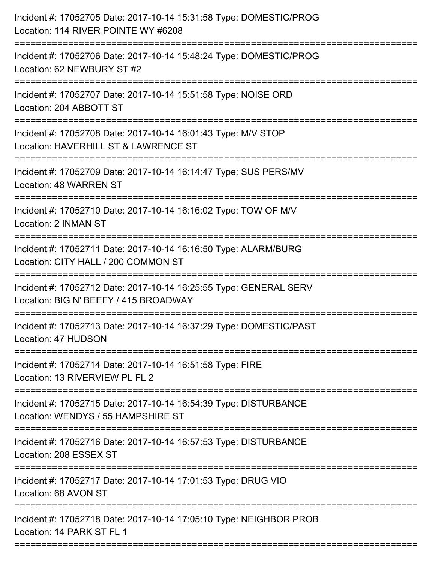| Incident #: 17052705 Date: 2017-10-14 15:31:58 Type: DOMESTIC/PROG<br>Location: 114 RIVER POINTE WY #6208  |
|------------------------------------------------------------------------------------------------------------|
| Incident #: 17052706 Date: 2017-10-14 15:48:24 Type: DOMESTIC/PROG<br>Location: 62 NEWBURY ST #2           |
| Incident #: 17052707 Date: 2017-10-14 15:51:58 Type: NOISE ORD<br>Location: 204 ABBOTT ST                  |
| Incident #: 17052708 Date: 2017-10-14 16:01:43 Type: M/V STOP<br>Location: HAVERHILL ST & LAWRENCE ST      |
| Incident #: 17052709 Date: 2017-10-14 16:14:47 Type: SUS PERS/MV<br>Location: 48 WARREN ST                 |
| Incident #: 17052710 Date: 2017-10-14 16:16:02 Type: TOW OF M/V<br>Location: 2 INMAN ST                    |
| Incident #: 17052711 Date: 2017-10-14 16:16:50 Type: ALARM/BURG<br>Location: CITY HALL / 200 COMMON ST     |
| Incident #: 17052712 Date: 2017-10-14 16:25:55 Type: GENERAL SERV<br>Location: BIG N' BEEFY / 415 BROADWAY |
| Incident #: 17052713 Date: 2017-10-14 16:37:29 Type: DOMESTIC/PAST<br>Location: 47 HUDSON                  |
| Incident #: 17052714 Date: 2017-10-14 16:51:58 Type: FIRE<br>Location: 13 RIVERVIEW PL FL 2                |
| Incident #: 17052715 Date: 2017-10-14 16:54:39 Type: DISTURBANCE<br>Location: WENDYS / 55 HAMPSHIRE ST     |
| Incident #: 17052716 Date: 2017-10-14 16:57:53 Type: DISTURBANCE<br>Location: 208 ESSEX ST                 |
| Incident #: 17052717 Date: 2017-10-14 17:01:53 Type: DRUG VIO<br>Location: 68 AVON ST                      |
| Incident #: 17052718 Date: 2017-10-14 17:05:10 Type: NEIGHBOR PROB<br>Location: 14 PARK ST FL 1            |
|                                                                                                            |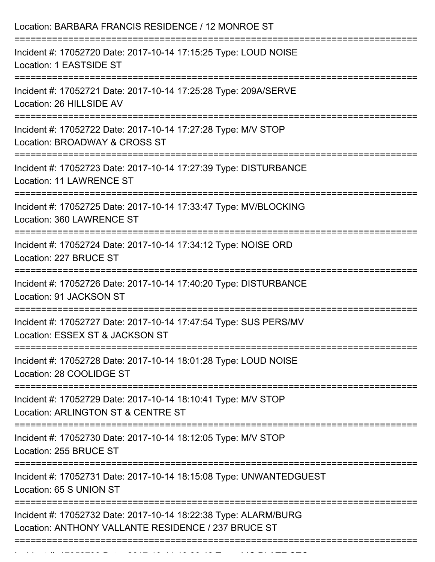| Location: BARBARA FRANCIS RESIDENCE / 12 MONROE ST                                                                                                                    |
|-----------------------------------------------------------------------------------------------------------------------------------------------------------------------|
| Incident #: 17052720 Date: 2017-10-14 17:15:25 Type: LOUD NOISE<br>Location: 1 EASTSIDE ST<br>===================================<br>-------------------------------- |
| Incident #: 17052721 Date: 2017-10-14 17:25:28 Type: 209A/SERVE<br>Location: 26 HILLSIDE AV                                                                           |
| Incident #: 17052722 Date: 2017-10-14 17:27:28 Type: M/V STOP<br>Location: BROADWAY & CROSS ST                                                                        |
| Incident #: 17052723 Date: 2017-10-14 17:27:39 Type: DISTURBANCE<br><b>Location: 11 LAWRENCE ST</b>                                                                   |
| Incident #: 17052725 Date: 2017-10-14 17:33:47 Type: MV/BLOCKING<br>Location: 360 LAWRENCE ST                                                                         |
| Incident #: 17052724 Date: 2017-10-14 17:34:12 Type: NOISE ORD<br>Location: 227 BRUCE ST                                                                              |
| Incident #: 17052726 Date: 2017-10-14 17:40:20 Type: DISTURBANCE<br>Location: 91 JACKSON ST                                                                           |
| Incident #: 17052727 Date: 2017-10-14 17:47:54 Type: SUS PERS/MV<br>Location: ESSEX ST & JACKSON ST                                                                   |
| Incident #: 17052728 Date: 2017-10-14 18:01:28 Type: LOUD NOISE<br>Location: 28 COOLIDGE ST                                                                           |
| Incident #: 17052729 Date: 2017-10-14 18:10:41 Type: M/V STOP<br>Location: ARLINGTON ST & CENTRE ST                                                                   |
| Incident #: 17052730 Date: 2017-10-14 18:12:05 Type: M/V STOP<br>Location: 255 BRUCE ST                                                                               |
| Incident #: 17052731 Date: 2017-10-14 18:15:08 Type: UNWANTEDGUEST<br>Location: 65 S UNION ST                                                                         |
| Incident #: 17052732 Date: 2017-10-14 18:22:38 Type: ALARM/BURG<br>Location: ANTHONY VALLANTE RESIDENCE / 237 BRUCE ST                                                |

Incident #: 17052733 Date: 2017 10 14 16:26:42 Type: 2017 10 14:26:42 Type: LIC PLATE STOR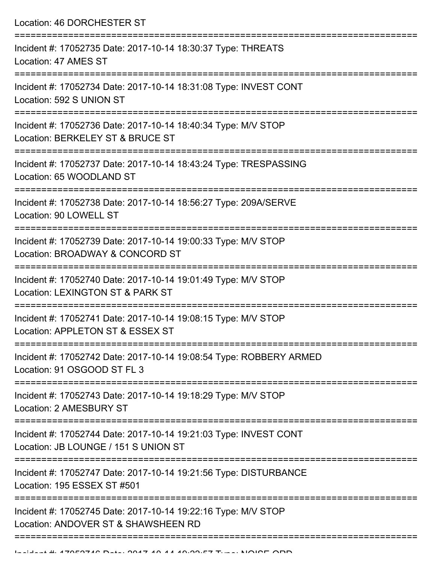Location: 46 DORCHESTER ST =========================================================================== Incident #: 17052735 Date: 2017-10-14 18:30:37 Type: THREATS Location: 47 AMES ST =========================================================================== Incident #: 17052734 Date: 2017-10-14 18:31:08 Type: INVEST CONT Location: 592 S UNION ST =========================================================================== Incident #: 17052736 Date: 2017-10-14 18:40:34 Type: M/V STOP Location: BERKELEY ST & BRUCE ST =========================================================================== Incident #: 17052737 Date: 2017-10-14 18:43:24 Type: TRESPASSING Location: 65 WOODLAND ST =========================================================================== Incident #: 17052738 Date: 2017-10-14 18:56:27 Type: 209A/SERVE Location: 90 LOWELL ST =========================================================================== Incident #: 17052739 Date: 2017-10-14 19:00:33 Type: M/V STOP Location: BROADWAY & CONCORD ST =========================================================================== Incident #: 17052740 Date: 2017-10-14 19:01:49 Type: M/V STOP Location: LEXINGTON ST & PARK ST =========================================================================== Incident #: 17052741 Date: 2017-10-14 19:08:15 Type: M/V STOP Location: APPLETON ST & ESSEX ST =========================================================================== Incident #: 17052742 Date: 2017-10-14 19:08:54 Type: ROBBERY ARMED Location: 91 OSGOOD ST FL 3 =========================================================================== Incident #: 17052743 Date: 2017-10-14 19:18:29 Type: M/V STOP Location: 2 AMESBURY ST =========================================================================== Incident #: 17052744 Date: 2017-10-14 19:21:03 Type: INVEST CONT Location: JB LOUNGE / 151 S UNION ST =========================================================================== Incident #: 17052747 Date: 2017-10-14 19:21:56 Type: DISTURBANCE Location: 195 ESSEX ST #501 =========================================================================== Incident #: 17052745 Date: 2017-10-14 19:22:16 Type: M/V STOP Location: ANDOVER ST & SHAWSHEEN RD

======================================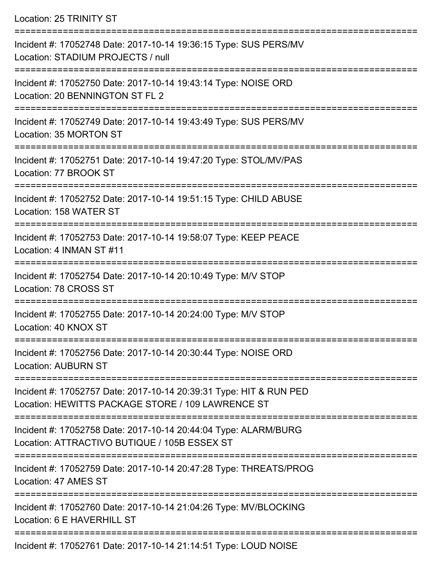Location: 25 TRINITY ST

| Incident #: 17052748 Date: 2017-10-14 19:36:15 Type: SUS PERS/MV<br>Location: STADIUM PROJECTS / null                   |
|-------------------------------------------------------------------------------------------------------------------------|
| Incident #: 17052750 Date: 2017-10-14 19:43:14 Type: NOISE ORD<br>Location: 20 BENNINGTON ST FL 2                       |
| Incident #: 17052749 Date: 2017-10-14 19:43:49 Type: SUS PERS/MV<br>Location: 35 MORTON ST                              |
| Incident #: 17052751 Date: 2017-10-14 19:47:20 Type: STOL/MV/PAS<br>Location: 77 BROOK ST<br>---------------            |
| Incident #: 17052752 Date: 2017-10-14 19:51:15 Type: CHILD ABUSE<br>Location: 158 WATER ST                              |
| Incident #: 17052753 Date: 2017-10-14 19:58:07 Type: KEEP PEACE<br>Location: 4 INMAN ST #11                             |
| Incident #: 17052754 Date: 2017-10-14 20:10:49 Type: M/V STOP<br>Location: 78 CROSS ST                                  |
| Incident #: 17052755 Date: 2017-10-14 20:24:00 Type: M/V STOP<br>Location: 40 KNOX ST                                   |
| Incident #: 17052756 Date: 2017-10-14 20:30:44 Type: NOISE ORD<br><b>Location: AUBURN ST</b>                            |
| Incident #: 17052757 Date: 2017-10-14 20:39:31 Type: HIT & RUN PED<br>Location: HEWITTS PACKAGE STORE / 109 LAWRENCE ST |
| Incident #: 17052758 Date: 2017-10-14 20:44:04 Type: ALARM/BURG<br>Location: ATTRACTIVO BUTIQUE / 105B ESSEX ST         |
| Incident #: 17052759 Date: 2017-10-14 20:47:28 Type: THREATS/PROG<br>Location: 47 AMES ST                               |
| Incident #: 17052760 Date: 2017-10-14 21:04:26 Type: MV/BLOCKING<br>Location: 6 E HAVERHILL ST                          |
| Incident #: 17052761 Date: 2017-10-14 21:14:51 Type: LOUD NOISE                                                         |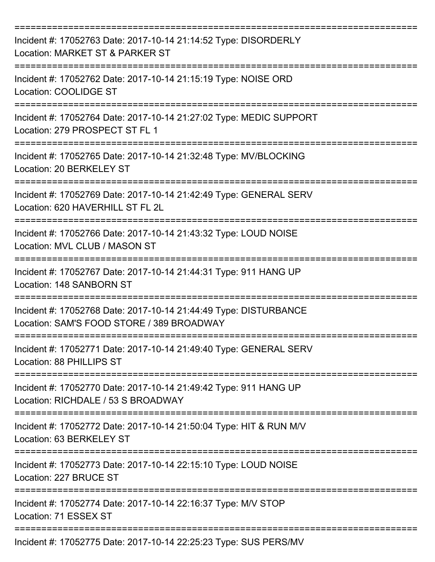| Incident #: 17052763 Date: 2017-10-14 21:14:52 Type: DISORDERLY<br>Location: MARKET ST & PARKER ST            |
|---------------------------------------------------------------------------------------------------------------|
| Incident #: 17052762 Date: 2017-10-14 21:15:19 Type: NOISE ORD<br>Location: COOLIDGE ST                       |
| Incident #: 17052764 Date: 2017-10-14 21:27:02 Type: MEDIC SUPPORT<br>Location: 279 PROSPECT ST FL 1          |
| Incident #: 17052765 Date: 2017-10-14 21:32:48 Type: MV/BLOCKING<br>Location: 20 BERKELEY ST                  |
| Incident #: 17052769 Date: 2017-10-14 21:42:49 Type: GENERAL SERV<br>Location: 620 HAVERHILL ST FL 2L         |
| Incident #: 17052766 Date: 2017-10-14 21:43:32 Type: LOUD NOISE<br>Location: MVL CLUB / MASON ST              |
| Incident #: 17052767 Date: 2017-10-14 21:44:31 Type: 911 HANG UP<br>Location: 148 SANBORN ST<br>==========    |
| Incident #: 17052768 Date: 2017-10-14 21:44:49 Type: DISTURBANCE<br>Location: SAM'S FOOD STORE / 389 BROADWAY |
| Incident #: 17052771 Date: 2017-10-14 21:49:40 Type: GENERAL SERV<br>Location: 88 PHILLIPS ST                 |
| Incident #: 17052770 Date: 2017-10-14 21:49:42 Type: 911 HANG UP<br>Location: RICHDALE / 53 S BROADWAY        |
| Incident #: 17052772 Date: 2017-10-14 21:50:04 Type: HIT & RUN M/V<br>Location: 63 BERKELEY ST                |
| Incident #: 17052773 Date: 2017-10-14 22:15:10 Type: LOUD NOISE<br>Location: 227 BRUCE ST                     |
| Incident #: 17052774 Date: 2017-10-14 22:16:37 Type: M/V STOP<br>Location: 71 ESSEX ST                        |
| Incident #: 17052775 Date: 2017-10-14 22:25:23 Type: SUS PERS/MV                                              |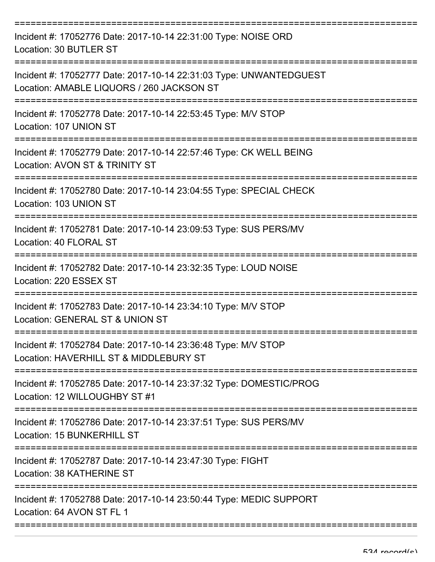| Incident #: 17052776 Date: 2017-10-14 22:31:00 Type: NOISE ORD<br>Location: 30 BUTLER ST                        |
|-----------------------------------------------------------------------------------------------------------------|
| Incident #: 17052777 Date: 2017-10-14 22:31:03 Type: UNWANTEDGUEST<br>Location: AMABLE LIQUORS / 260 JACKSON ST |
| Incident #: 17052778 Date: 2017-10-14 22:53:45 Type: M/V STOP<br>Location: 107 UNION ST                         |
| Incident #: 17052779 Date: 2017-10-14 22:57:46 Type: CK WELL BEING<br>Location: AVON ST & TRINITY ST            |
| Incident #: 17052780 Date: 2017-10-14 23:04:55 Type: SPECIAL CHECK<br>Location: 103 UNION ST                    |
| Incident #: 17052781 Date: 2017-10-14 23:09:53 Type: SUS PERS/MV<br>Location: 40 FLORAL ST                      |
| Incident #: 17052782 Date: 2017-10-14 23:32:35 Type: LOUD NOISE<br>Location: 220 ESSEX ST                       |
| Incident #: 17052783 Date: 2017-10-14 23:34:10 Type: M/V STOP<br>Location: GENERAL ST & UNION ST                |
| Incident #: 17052784 Date: 2017-10-14 23:36:48 Type: M/V STOP<br>Location: HAVERHILL ST & MIDDLEBURY ST         |
| Incident #: 17052785 Date: 2017-10-14 23:37:32 Type: DOMESTIC/PROG<br>Location: 12 WILLOUGHBY ST #1             |
| Incident #: 17052786 Date: 2017-10-14 23:37:51 Type: SUS PERS/MV<br>Location: 15 BUNKERHILL ST                  |
| Incident #: 17052787 Date: 2017-10-14 23:47:30 Type: FIGHT<br>Location: 38 KATHERINE ST                         |
| Incident #: 17052788 Date: 2017-10-14 23:50:44 Type: MEDIC SUPPORT<br>Location: 64 AVON ST FL 1                 |
|                                                                                                                 |